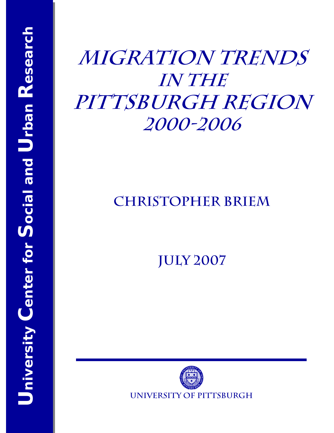# **Migration Trends in the**  PITTSBURGH REGION **2000-2006**

## **Christopher Briem**

**July 2007** 

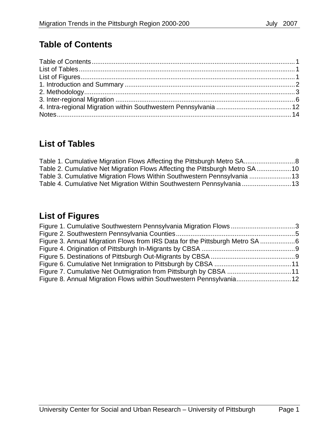## **Table of Contents**

## **List of Tables**

| Table 2. Cumulative Net Migration Flows Affecting the Pittsburgh Metro SA10 |  |
|-----------------------------------------------------------------------------|--|
| Table 3. Cumulative Migration Flows Within Southwestern Pennsylvania 13     |  |
| Table 4. Cumulative Net Migration Within Southwestern Pennsylvania13        |  |

### **List of Figures**

| Figure 1. Cumulative Southwestern Pennsylvania Migration Flows3              |
|------------------------------------------------------------------------------|
|                                                                              |
| Figure 3. Annual Migration Flows from IRS Data for the Pittsburgh Metro SA 6 |
|                                                                              |
|                                                                              |
|                                                                              |
|                                                                              |
| Figure 8. Annual Migration Flows within Southwestern Pennsylvania12          |
|                                                                              |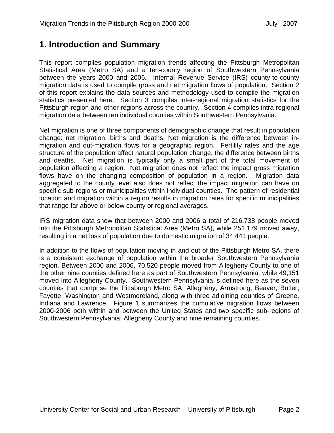#### **1. Introduction and Summary**

This report compiles population migration trends affecting the Pittsburgh Metropolitan Statistical Area (Metro SA) and a ten-county region of Southwestern Pennsylvania between the years 2000 and 2006. Internal Revenue Service (IRS) county-to-county migration data is used to compile gross and net migration flows of population. Section 2 of this report explains the data sources and methodology used to compile the migration statistics presented here. Section 3 compiles inter-regional migration statistics for the Pittsburgh region and other regions across the country. Section 4 compiles intra-regional migration data between ten individual counties within Southwestern Pennsylvania.

Net migration is one of three components of demographic change that result in population change: net migration, births and deaths. Net migration is the difference between inmigration and out-migration flows for a geographic region. Fertility rates and the age structure of the population affect natural population change, the difference between births and deaths. Net migration is typically only a small part of the total movement of population affecting a region. Net migration does not reflect the impact gross migration flows have on the changing composition of population in a region. Migration data aggregated to the county level also does not reflect the impact migration can have on specific sub-regions or municipalities within individual counties. The pattern of residential location and migration within a region results in migration rates for specific municipalities that range far above or below county or regional averages.

IRS migration data show that between 2000 and 2006 a total of 216,738 people moved into the Pittsburgh Metropolitan Statistical Area (Metro SA), while 251,179 moved away, resulting in a net loss of population due to domestic migration of 34,441 people.

In addition to the flows of population moving in and out of the Pittsburgh Metro SA, there is a consistent exchange of population within the broader Southwestern Pennsylvania region. Between 2000 and 2006, 70,520 people moved from Allegheny County to one of the other nine counties defined here as part of Southwestern Pennsylvania, while 49,151 moved into Allegheny County. Southwestern Pennsylvania is defined here as the seven counties that comprise the Pittsburgh Metro SA: Allegheny, Armstrong, Beaver, Butler, Fayette, Washington and Westmoreland, along with three adjoining counties of Greene, Indiana and Lawrence. Figure 1 summarizes the cumulative migration flows between 2000-2006 both within and between the United States and two specific sub-regions of Southwestern Pennsylvania: Allegheny County and nine remaining counties.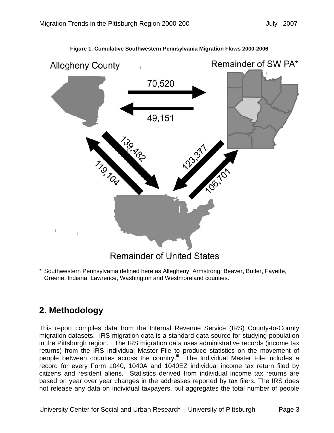

**Figure 1. Cumulative Southwestern Pennsylvania Migration Flows 2000-2006** 

\* Southwestern Pennsylvania defined here as Allegheny, Armstrong, Beaver, Butler, Fayette, Greene, Indiana, Lawrence, Washington and Westmoreland counties.

#### **2. Methodology**

This report compiles data from the Internal Revenue Service (IRS) County-to-County migration datasets. IRS migration data is a standard data source for studying population in the Pittsburgh region.<sup>ii</sup> The IRS migration data uses administrative records (income tax returns) from the IRS Individual Master File to produce statistics on the movement of people between counties across the country.<sup>iii</sup> The Individual Master File includes a record for every Form 1040, 1040A and 1040EZ individual income tax return filed by citizens and resident aliens. Statistics derived from individual income tax returns are based on year over year changes in the addresses reported by tax filers. The IRS does not release any data on individual taxpayers, but aggregates the total number of people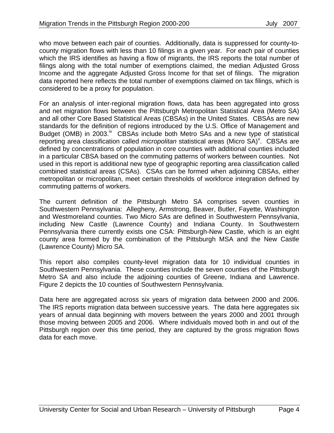who move between each pair of counties. Additionally, data is suppressed for county-tocounty migration flows with less than 10 filings in a given year. For each pair of counties which the IRS identifies as having a flow of migrants, the IRS reports the total number of filings along with the total number of exemptions claimed, the median Adjusted Gross Income and the aggregate Adjusted Gross Income for that set of filings. The migration data reported here reflects the total number of exemptions claimed on tax filings, which is considered to be a proxy for population.

For an analysis of inter-regional migration flows, data has been aggregated into gross and net migration flows between the Pittsburgh Metropolitan Statistical Area (Metro SA) and all other Core Based Statistical Areas (CBSAs) in the United States. CBSAs are new standards for the definition of regions introduced by the U.S. Office of Management and Budget (OMB) in 2003.<sup>iv</sup> CBSAs include both Metro SAs and a new type of statistical reporting area classification called *micropolitan* statistical areas (Micro SA)<sup>v</sup>. CBSAs are defined by concentrations of population in core counties with additional counties included in a particular CBSA based on the commuting patterns of workers between counties. Not used in this report is additional new type of geographic reporting area classification called combined statistical areas (CSAs). CSAs can be formed when adjoining CBSAs, either metropolitan or micropolitan, meet certain thresholds of workforce integration defined by commuting patterns of workers.

The current definition of the Pittsburgh Metro SA comprises seven counties in Southwestern Pennsylvania: Allegheny, Armstrong, Beaver, Butler, Fayette, Washington and Westmoreland counties. Two Micro SAs are defined in Southwestern Pennsylvania, including New Castle (Lawrence County) and Indiana County. In Southwestern Pennsylvania there currently exists one CSA: Pittsburgh-New Castle, which is an eight county area formed by the combination of the Pittsburgh MSA and the New Castle (Lawrence County) Micro SA.

This report also compiles county-level migration data for 10 individual counties in Southwestern Pennsylvania. These counties include the seven counties of the Pittsburgh Metro SA and also include the adjoining counties of Greene, Indiana and Lawrence. Figure 2 depicts the 10 counties of Southwestern Pennsylvania.

Data here are aggregated across six years of migration data between 2000 and 2006. The IRS reports migration data between successive years. The data here aggregates six years of annual data beginning with movers between the years 2000 and 2001 through those moving between 2005 and 2006. Where individuals moved both in and out of the Pittsburgh region over this time period, they are captured by the gross migration flows data for each move.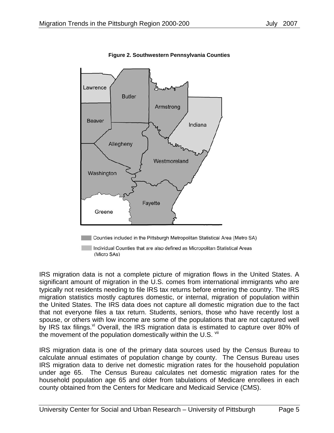

**Figure 2. Southwestern Pennsylvania Counties** 

Individual Counties that are also defined as Micropolitan Statistical Areas (Micro SAs)

IRS migration data is not a complete picture of migration flows in the United States. A significant amount of migration in the U.S. comes from international immigrants who are typically not residents needing to file IRS tax returns before entering the country. The IRS migration statistics mostly captures domestic, or internal, migration of population within the United States. The IRS data does not capture all domestic migration due to the fact that not everyone files a tax return. Students, seniors, those who have recently lost a spouse, or others with low income are some of the populations that are not captured well by IRS tax filings.<sup>vi</sup> Overall, the IRS migration data is estimated to capture over 80% of the movement of the population domestically within the U.S. Vii

IRS migration data is one of the primary data sources used by the Census Bureau to calculate annual estimates of population change by county. The Census Bureau uses IRS migration data to derive net domestic migration rates for the household population under age 65. The Census Bureau calculates net domestic migration rates for the household population age 65 and older from tabulations of Medicare enrollees in each county obtained from the Centers for Medicare and Medicaid Service (CMS).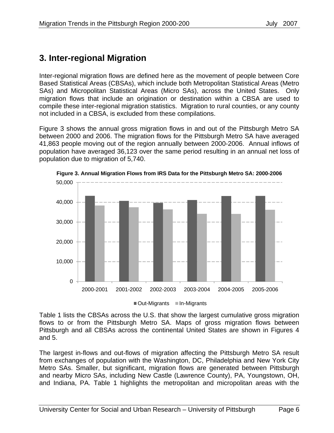#### **3. Inter-regional Migration**

Inter-regional migration flows are defined here as the movement of people between Core Based Statistical Areas (CBSAs), which include both Metropolitan Statistical Areas (Metro SAs) and Micropolitan Statistical Areas (Micro SAs), across the United States. Only migration flows that include an origination or destination within a CBSA are used to compile these inter-regional migration statistics. Migration to rural counties, or any county not included in a CBSA, is excluded from these compilations.

Figure 3 shows the annual gross migration flows in and out of the Pittsburgh Metro SA between 2000 and 2006. The migration flows for the Pittsburgh Metro SA have averaged 41,863 people moving out of the region annually between 2000-2006. Annual inflows of population have averaged 36,123 over the same period resulting in an annual net loss of population due to migration of 5,740.



**Figure 3. Annual Migration Flows from IRS Data for the Pittsburgh Metro SA: 2000-2006** 

■ Out-Migrants ■ In-Migrants

Table 1 lists the CBSAs across the U.S. that show the largest cumulative gross migration flows to or from the Pittsburgh Metro SA. Maps of gross migration flows between Pittsburgh and all CBSAs across the continental United States are shown in Figures 4 and 5.

The largest in-flows and out-flows of migration affecting the Pittsburgh Metro SA result from exchanges of population with the Washington, DC, Philadelphia and New York City Metro SAs. Smaller, but significant, migration flows are generated between Pittsburgh and nearby Micro SAs, including New Castle (Lawrence County), PA, Youngstown, OH, and Indiana, PA. Table 1 highlights the metropolitan and micropolitan areas with the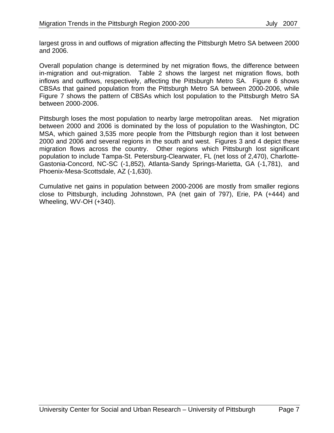largest gross in and outflows of migration affecting the Pittsburgh Metro SA between 2000 and 2006.

Overall population change is determined by net migration flows, the difference between in-migration and out-migration. Table 2 shows the largest net migration flows, both inflows and outflows, respectively, affecting the Pittsburgh Metro SA. Figure 6 shows CBSAs that gained population from the Pittsburgh Metro SA between 2000-2006, while Figure 7 shows the pattern of CBSAs which lost population to the Pittsburgh Metro SA between 2000-2006.

Pittsburgh loses the most population to nearby large metropolitan areas. Net migration between 2000 and 2006 is dominated by the loss of population to the Washington, DC MSA, which gained 3,535 more people from the Pittsburgh region than it lost between 2000 and 2006 and several regions in the south and west. Figures 3 and 4 depict these migration flows across the country. Other regions which Pittsburgh lost significant population to include Tampa-St. Petersburg-Clearwater, FL (net loss of 2,470), Charlotte-Gastonia-Concord, NC-SC (-1,852), Atlanta-Sandy Springs-Marietta, GA (-1,781), and Phoenix-Mesa-Scottsdale, AZ (-1,630).

Cumulative net gains in population between 2000-2006 are mostly from smaller regions close to Pittsburgh, including Johnstown, PA (net gain of 797), Erie, PA (+444) and Wheeling, WV-OH (+340).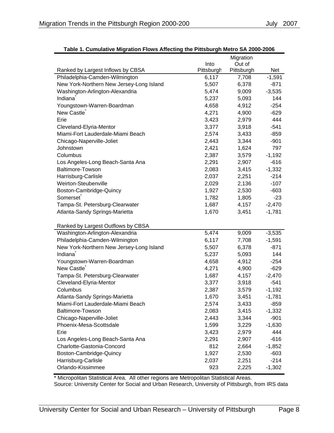|                                          |            | Migration  |          |
|------------------------------------------|------------|------------|----------|
|                                          | Into       | Out of     |          |
| Ranked by Largest Inflows by CBSA        | Pittsburgh | Pittsburgh | Net      |
| Philadelphia-Camden-Wilmington           | 6,117      | 7,708      | $-1,591$ |
| New York-Northern New Jersey-Long Island | 5,507      | 6,378      | $-871$   |
| Washington-Arlington-Alexandria          | 5,474      | 9,009      | $-3,535$ |
| Indiana                                  | 5,237      | 5,093      | 144      |
| Youngstown-Warren-Boardman               | 4,658      | 4,912      | $-254$   |
| New Castle <sup>®</sup>                  | 4,271      | 4,900      | $-629$   |
| Erie                                     | 3,423      | 2,979      | 444      |
| Cleveland-Elyria-Mentor                  | 3,377      | 3,918      | $-541$   |
| Miami-Fort Lauderdale-Miami Beach        | 2,574      | 3,433      | $-859$   |
| Chicago-Naperville-Joliet                | 2,443      | 3,344      | $-901$   |
| Johnstown                                | 2,421      | 1,624      | 797      |
| Columbus                                 | 2,387      | 3,579      | $-1,192$ |
| Los Angeles-Long Beach-Santa Ana         | 2,291      | 2,907      | $-616$   |
| <b>Baltimore-Towson</b>                  | 2,083      | 3,415      | $-1,332$ |
| Harrisburg-Carlisle                      | 2,037      | 2,251      | $-214$   |
| Weirton-Steubenville                     | 2,029      | 2,136      | $-107$   |
| Boston-Cambridge-Quincy                  | 1,927      | 2,530      | $-603$   |
| Somerset                                 | 1,782      | 1,805      | $-23$    |
| Tampa-St. Petersburg-Clearwater          | 1,687      | 4,157      | $-2,470$ |
| Atlanta-Sandy Springs-Marietta           | 1,670      | 3,451      | $-1,781$ |
|                                          |            |            |          |
| Ranked by Largest Outflows by CBSA       |            |            |          |
| Washington-Arlington-Alexandria          | 5,474      | 9,009      | $-3,535$ |
| Philadelphia-Camden-Wilmington           | 6,117      | 7,708      | $-1,591$ |
| New York-Northern New Jersey-Long Island | 5,507      | 6,378      | $-871$   |
| Indiana                                  | 5,237      | 5,093      | 144      |
| Youngstown-Warren-Boardman               | 4,658      | 4,912      | $-254$   |
| New Castle                               | 4,271      | 4,900      | $-629$   |
| Tampa-St. Petersburg-Clearwater          | 1,687      | 4,157      | $-2,470$ |
| Cleveland-Elyria-Mentor                  | 3,377      | 3,918      | $-541$   |
| Columbus                                 | 2,387      | 3,579      | $-1,192$ |
| Atlanta-Sandy Springs-Marietta           | 1,670      | 3,451      | $-1,781$ |
| Miami-Fort Lauderdale-Miami Beach        | 2,574      | 3,433      | $-859$   |
| <b>Baltimore-Towson</b>                  | 2,083      | 3,415      | $-1,332$ |
| Chicago-Naperville-Joliet                | 2,443      | 3,344      | $-901$   |
| Phoenix-Mesa-Scottsdale                  | 1,599      | 3,229      | $-1,630$ |
| Erie                                     | 3,423      | 2,979      | 444      |
| Los Angeles-Long Beach-Santa Ana         | 2,291      | 2,907      | $-616$   |
| Charlotte-Gastonia-Concord               | 812        | 2,664      | $-1,852$ |
| Boston-Cambridge-Quincy                  | 1,927      | 2,530      | $-603$   |
| Harrisburg-Carlisle                      | 2,037      | 2,251      | $-214$   |
| Orlando-Kissimmee                        | 923        | 2,225      | $-1,302$ |

#### **Table 1. Cumulative Migration Flows Affecting the Pittsburgh Metro SA 2000-2006**

\* Micropolitan Statistical Area. All other regions are Metropolitan Statistical Areas. Source: University Center for Social and Urban Research, University of Pittsburgh, from IRS data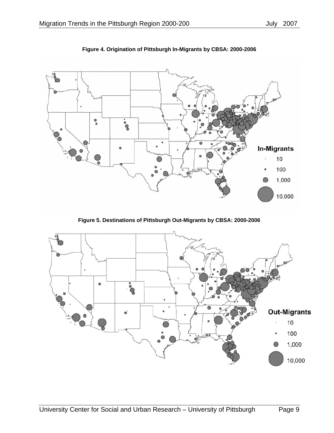

**Figure 4. Origination of Pittsburgh In-Migrants by CBSA: 2000-2006** 

**Figure 5. Destinations of Pittsburgh Out-Migrants by CBSA: 2000-2006** 

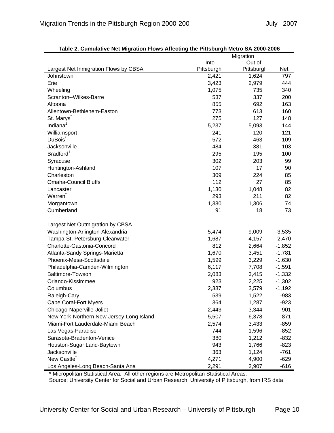|                                          | Migration  |            |            |  |
|------------------------------------------|------------|------------|------------|--|
|                                          | Into       | Out of     |            |  |
| Largest Net Inmigration Flows by CBSA    | Pittsburgh | Pittsburgl | <b>Net</b> |  |
| Johnstown                                | 2,421      | 1,624      | 797        |  |
| Erie                                     | 3,423      | 2,979      | 444        |  |
| Wheeling                                 | 1,075      | 735        | 340        |  |
| Scranton--Wilkes-Barre                   | 537        | 337        | 200        |  |
| Altoona                                  | 855        | 692        | 163        |  |
| Allentown-Bethlehem-Easton               | 773        | 613        | 160        |  |
| St. Marys <sup>®</sup>                   | 275        | 127        | 148        |  |
| Indiana <sup>1</sup>                     | 5,237      | 5,093      | 144        |  |
| Williamsport                             | 241        | 120        | 121        |  |
| <b>DuBois</b>                            | 572        | 463        | 109        |  |
| Jacksonville                             | 484        | 381        | 103        |  |
| Bradford <sup>1</sup>                    | 295        | 195        | 100        |  |
| Syracuse                                 | 302        | 203        | 99         |  |
| Huntington-Ashland                       | 107        | 17         | 90         |  |
| Charleston                               | 309        | 224        | 85         |  |
| <b>Omaha-Council Bluffs</b>              | 112        | 27         | 85         |  |
| Lancaster                                | 1,130      | 1,048      | 82         |  |
| Warren                                   | 293        | 211        | 82         |  |
| Morgantown                               | 1,380      | 1,306      | 74         |  |
| Cumberland                               | 91         | 18         | 73         |  |
|                                          |            |            |            |  |
| Largest Net Outmigration by CBSA         |            |            |            |  |
| Washington-Arlington-Alexandria          | 5,474      | 9,009      | $-3,535$   |  |
| Tampa-St. Petersburg-Clearwater          | 1,687      | 4,157      | $-2,470$   |  |
| Charlotte-Gastonia-Concord               | 812        | 2,664      | $-1,852$   |  |
| Atlanta-Sandy Springs-Marietta           | 1,670      | 3,451      | $-1,781$   |  |
| Phoenix-Mesa-Scottsdale                  | 1,599      | 3,229      | $-1,630$   |  |
| Philadelphia-Camden-Wilmington           | 6,117      | 7,708      | $-1,591$   |  |
| <b>Baltimore-Towson</b>                  | 2,083      | 3,415      | $-1,332$   |  |
| Orlando-Kissimmee                        | 923        | 2,225      | $-1,302$   |  |
| Columbus                                 | 2,387      | 3,579      | $-1,192$   |  |
| Raleigh-Cary                             | 539        | 1,522      | $-983$     |  |
| <b>Cape Coral-Fort Myers</b>             | 364        | 1,287      | $-923$     |  |
| Chicago-Naperville-Joliet                | 2,443      | 3,344      | $-901$     |  |
| New York-Northern New Jersey-Long Island | 5,507      | 6,378      | $-871$     |  |
| Miami-Fort Lauderdale-Miami Beach        | 2,574      | 3,433      | $-859$     |  |
| Las Vegas-Paradise                       | 744        | 1,596      | $-852$     |  |
| Sarasota-Bradenton-Venice                | 380        | 1,212      | $-832$     |  |
| Houston-Sugar Land-Baytown               | 943        | 1,766      | $-823$     |  |
| Jacksonville                             | 363        | 1,124      | $-761$     |  |
| New Castle                               | 4,271      | 4,900      | $-629$     |  |
| Los Angeles-Long Beach-Santa Ana         | 2,291      | 2,907      | $-616$     |  |

| Table 2. Cumulative Net Migration Flows Affecting the Pittsburgh Metro SA 2000-2006 |
|-------------------------------------------------------------------------------------|
|-------------------------------------------------------------------------------------|

\* Micropolitan Statistical Area. All other regions are Metropolitan Statistical Areas. Source: University Center for Social and Urban Research, University of Pittsburgh, from IRS data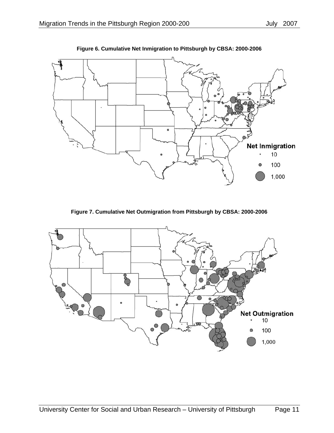

**Figure 6. Cumulative Net Inmigration to Pittsburgh by CBSA: 2000-2006** 

**Figure 7. Cumulative Net Outmigration from Pittsburgh by CBSA: 2000-2006** 

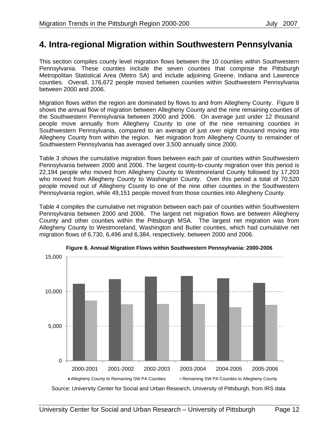#### **4. Intra-regional Migration within Southwestern Pennsylvania**

This section compiles county level migration flows between the 10 counties within Southwestern Pennsylvania. These counties include the seven counties that comprise the Pittsburgh Metropolitan Statistical Area (Metro SA) and include adjoining Greene, Indiana and Lawrence counties. Overall, 176,672 people moved between counties within Southwestern Pennsylvania between 2000 and 2006.

Migration flows within the region are dominated by flows to and from Allegheny County. Figure 8 shows the annual flow of migration between Allegheny County and the nine remaining counties of the Southwestern Pennsylvania between 2000 and 2006. On average just under 12 thousand people move annually from Allegheny County to one of the nine remaining counties in Southwestern Pennsylvania, compared to an average of just over eight thousand moving into Allegheny County from within the region. Net migration from Allegheny County to remainder of Southwestern Pennsylvania has averaged over 3,500 annually since 2000.

Table 3 shows the cumulative migration flows between each pair of counties within Southwestern Pennsylvania between 2000 and 2006. The largest county-to-county migration over this period is 22,194 people who moved from Allegheny County to Westmoreland County followed by 17,203 who moved from Allegheny County to Washington County. Over this period a total of 70,520 people moved out of Allegheny County to one of the nine other counties in the Southwestern Pennsylvania region, while 49,151 people moved from those counties into Allegheny County.

Table 4 compiles the cumulative net migration between each pair of counties within Southwestern Pennsylvania between 2000 and 2006. The largest net migration flows are between Allegheny County and other counties within the Pittsburgh MSA. The largest net migration was from Allegheny County to Westmoreland, Washington and Butler counties, which had cumulative net migration flows of 6,730, 6,496 and 6,384, respectively, between 2000 and 2006.





Source: University Center for Social and Urban Research, University of Pittsburgh, from IRS data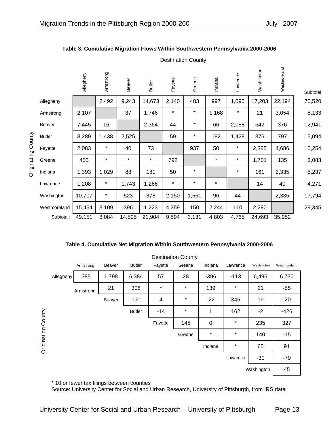|               | Allegheny | Armstrong | Beaver  | <b>Butler</b> | Fayette  | Greene  | Indiana | Lawrence | Washington | Westmoreland | Subtotal |
|---------------|-----------|-----------|---------|---------------|----------|---------|---------|----------|------------|--------------|----------|
| Allegheny     |           | 2,492     | 9,243   | 14,673        | 2,140    | 483     | 997     | 1,095    | 17,203     | 22,194       | 70,520   |
| Armstrong     | 2,107     |           | 37      | 1,746         | $\star$  | $\star$ | 1,168   | $\star$  | 21         | 3,054        | 8,133    |
| Beaver        | 7,445     | 16        |         | 2,364         | 44       | $\star$ | 66      | 2,088    | 542        | 376          | 12,941   |
| <b>Butler</b> | 8,289     | 1,438     | 2,525   |               | 59       | $\star$ | 182     | 1,428    | 376        | 797          | 15,094   |
| Fayette       | 2,083     | $\star$   | 40      | 73            |          | 937     | 50      | $\star$  | 2,385      | 4,686        | 10,254   |
| Greene        | 455       | $\star$   | $\star$ | $\star$       | 792      |         | $\star$ | $\star$  | 1,701      | 135          | 3,083    |
| Indiana       | 1,393     | 1,029     | 88      | 181           | 50       | $\star$ |         | $\star$  | 161        | 2,335        | 5,237    |
| Lawrence      | 1,208     | $\star$   | 1,743   | 1,266         | $^\star$ | $\star$ | $\star$ |          | 14         | 40           | 4,271    |
| Washington    | 10,707    | $^\star$  | 523     | 378           | 2,150    | 1,561   | 96      | 44       |            | 2,335        | 17,794   |
| Westmoreland  | 15,464    | 3,109     | 396     | 1,223         | 4,359    | 150     | 2,244   | 110      | 2,290      |              | 29,345   |
| Subtotal:     | 49,151    | 8,084     | 14,595  | 21,904        | 9,594    | 3,131   | 4,803   | 4,765    | 24,693     | 35,952       |          |

#### **Table 3. Cumulative Migration Flows Within Southwestern Pennsylvania 2000-2006**

Destination County

**Table 4. Cumulative Net Migration Within Southwestern Pennsylvania 2000-2006** 

|                    |           |           |        |               |                | Destination County |             |          |            |              |
|--------------------|-----------|-----------|--------|---------------|----------------|--------------------|-------------|----------|------------|--------------|
|                    |           | Armstrong | Beaver | <b>Butler</b> | Fayette        | Greene             | Indiana     | Lawrence | Washington | Westmoreland |
|                    | Allegheny | 385       | 1,798  | 6,384         | 57             | 28                 | $-396$      | $-113$   | 6,496      | 6,730        |
|                    |           | Armstrong | 21     | 308           | $\star$        | $\star$            | 139         | $\star$  | 21         | $-55$        |
|                    |           |           | Beaver | $-161$        | $\overline{4}$ | $\star$            | $-22$       | 345      | 19         | $-20$        |
|                    |           |           |        | <b>Butler</b> | $-14$          | $\star$            | 1           | 162      | $-2$       | $-426$       |
| Originating County |           |           |        |               | Fayette        | 145                | $\mathbf 0$ | $\star$  | 235        | 327          |
|                    |           |           |        |               |                | Greene             | *           | *        | 140        | $-15$        |
|                    |           |           |        |               |                |                    | Indiana     | $\star$  | 65         | 91           |
|                    |           |           |        |               |                |                    |             | Lawrence | $-30$      | $-70$        |
|                    |           |           |        |               |                |                    |             |          | Washington | 45           |

#### Destination County

\* 10 or fewer tax filings between counties

Source: University Center for Social and Urban Research, University of Pittsburgh, from IRS data